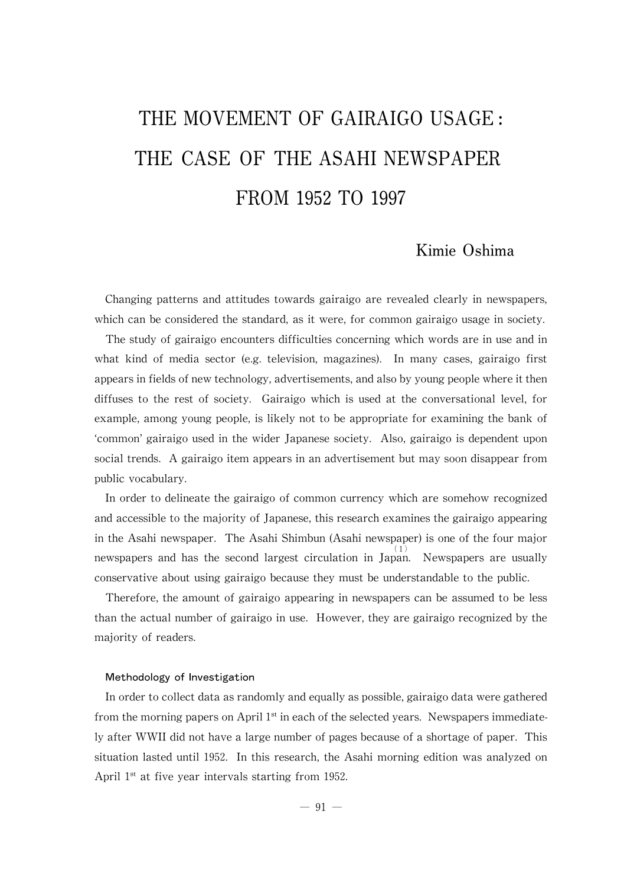# THE MOVEMENT OF GAIRAIGO USAGE : THE CASE OF THE ASAHI NEWSPAPER FROM 1952 TO 1997

# Kimie Oshima

Changing patterns and attitudes towards gairaigo are revealed clearly in newspapers, which can be considered the standard, as it were, for common gairaigo usage in society.

The study of gairaigo encounters difficulties concerning which words are in use and in what kind of media sector (e.g. television, magazines). In many cases, gairaigo first appears in fields of new technology, advertisements, and also by young people where it then diffuses to the rest of society. Gairaigo which is used at the conversational level, for example, among young people, is likely not to be appropriate for examining the bank of ʻcommon'gairaigo used in the wider Japanese society. Also, gairaigo is dependent upon social trends. A gairaigo item appears in an advertisement but maysoon disappear from public vocabulary.

In order to delineate the gairaigo of common currencywhich are somehow recognized and accessible to the majority of Japanese, this research examines the gairaigo appearing in the Asahi newspaper. The Asahi Shimbun (Asahi newspaper) is one of the four major newspapers and has the second largest circulation in Japan. Newspapers are usually conservative about using gairaigo because theymust be understandable to the public.

Therefore, the amount of gairaigo appearing in newspapers can be assumed to be less than the actual number of gairaigo in use. However, they are gairaigo recognized by the majority of readers.

#### Methodology of Investigation

In order to collect data as randomly and equally as possible, gairaigo data were gathered from the morning papers on April  $1<sup>st</sup>$  in each of the selected years. Newspapers immediately after WWII did not have a large number of pages because of a shortage of paper. This situation lasted until 1952. In this research, the Asahi morning edition was analyzed on April  $1<sup>st</sup>$  at five year intervals starting from 1952.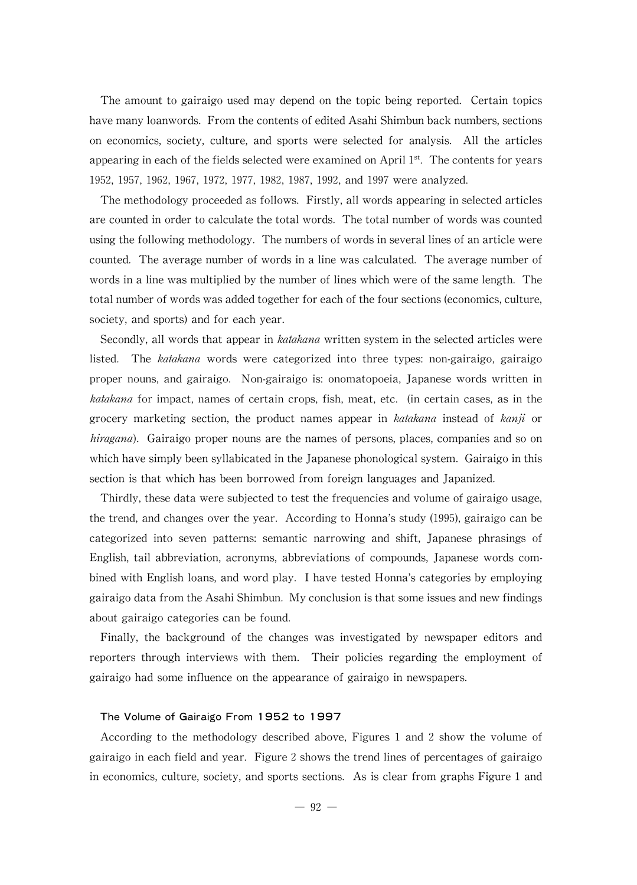The amount to gairaigo used may depend on the topic being reported. Certain topics have many loanwords. From the contents of edited Asahi Shimbun back numbers, sections on economics, society, culture, and sports were selected for analysis. All the articles appearing in each of the fields selected were examined on April  $1<sup>st</sup>$ . The contents for years 1952,1957,1962,1967,1972,1977,1982,1987,1992,and 1997 were analyzed.

The methodology proceeded as follows. Firstly, all words appearing in selected articles are counted in order to calculate the total words. The total number of words was counted using the following methodology. The numbers of words in several lines of an article were counted. The average number of words in a line was calculated. The average number of words in a line was multiplied by the number of lines which were of the same length. The total number of words was added together for each of the four sections (economics, culture, society, and sports) and for each year.

Secondly, all words that appear in *katakana* written system in the selected articles were listed. The katakana words were categorized into three types: non-gairaigo, gairaigo proper nouns, and gairaigo. Non-gairaigo is: onomatopoeia, Japanese words written in katakana for impact, names of certain crops, fish, meat, etc. (in certain cases, as in the grocery marketing section, the product names appear in katakana instead of kanji or *hiragana*). Gairaigo proper nouns are the names of persons, places, companies and so on which have simply been syllabicated in the Japanese phonological system. Gairaigo in this section is that which has been borrowed from foreign languages and Japanized.

Thirdly, these data were subjected to test the frequencies and volume of gairaigo usage, the trend, and changes over the year. According to Honna's study (1995), gairaigo can be categorized into seven patterns: semantic narrowing and shift, Japanese phrasings of English, tail abbreviation, acronyms, abbreviations of compounds, Japanese words combined with English loans, and word play. I have tested Honna's categories by employing gairaigo data from the Asahi Shimbun. My conclusion is that some issues and new findings about gairaigo categories can be found.

Finally, the background of the changes was investigated by newspaper editors and reporters through interviews with them. Their policies regarding the employment of gairaigo had some influence on the appearance of gairaigo in newspapers.

# The Volume of Gairaigo From 1952 to 1997

According to the methodology described above, Figures 1 and 2 show the volume of gairaigo in each field and year. Figure 2 shows the trend lines of percentages of gairaigo in economics, culture, society, and sports sections. As is clear from graphs Figure 1 and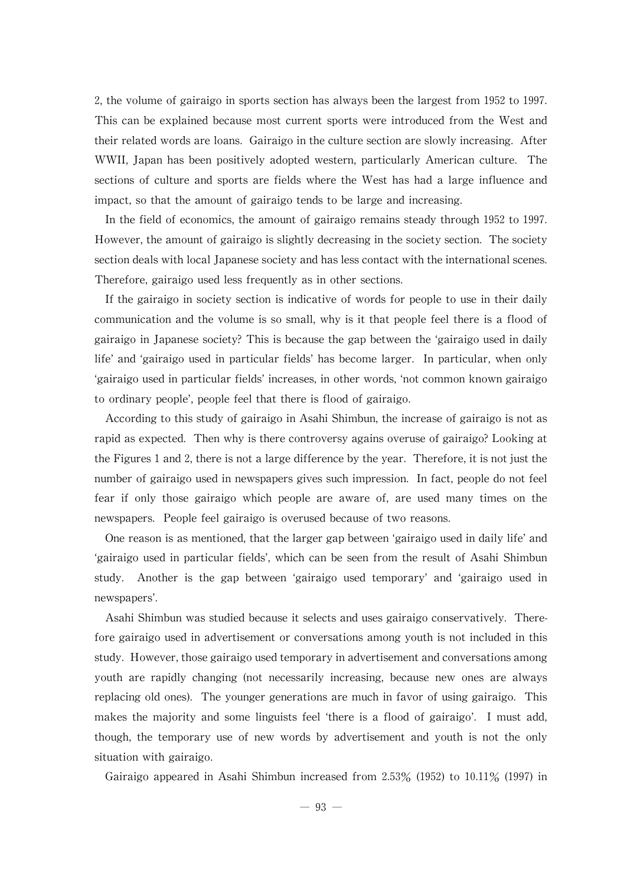2,the volume of gairaigo in sports section has always been the largest from 1952 to 1997. This can be explained because most current sports were introduced from the West and their related words are loans. Gairaigo in the culture section are slowly increasing. After WWII, Japan has been positively adopted western, particularly American culture. The sections of culture and sports are fields where the West has had a large influence and impact, so that the amount of gairaigo tends to be large and increasing.

In the field of economics, the amount of gairaigo remains steady through 1952 to 1997. However, the amount of gairaigo is slightly decreasing in the society section. The society section deals with local Japanese society and has less contact with the international scenes. Therefore, gairaigo used less frequently as in other sections.

If the gairaigo in society section is indicative of words for people to use in their daily communication and the volume is so small, why is it that people feel there is a flood of gairaigo in Japanese society?This is because the gap between the ʻgairaigo used in daily life'and ʻgairaigo used in particular fields'has become larger. In particular, when only ʻgairaigo used in particular fields'increases,in other words,ʻnot common known gairaigo to ordinary people', people feel that there is flood of gairaigo.

According to this study of gairaigo in Asahi Shimbun, the increase of gairaigo is not as rapid as expected. Then why is there controversy agains overuse of gairaigo? Looking at the Figures 1 and 2, there is not a large difference by the year. Therefore, it is not just the number of gairaigo used in newspapers gives such impression. In fact, people do not feel fear if only those gairaigo which people are aware of, are used many times on the newspapers. People feel gairaigo is overused because of two reasons.

One reason is as mentioned, that the larger gap between 'gairaigo used in daily life' and ʻgairaigo used in particular fields', which can be seen from the result of Asahi Shimbun study. Another is the gap between ʻgairaigo used temporary'and ʻgairaigo used in newspapers'.

Asahi Shimbun was studied because it selects and uses gairaigo conservatively. Therefore gairaigo used in advertisement or conversations among youth is not included in this study. However, those gairaigo used temporary in advertisement and conversations among youth are rapidly changing (not necessarily increasing, because new ones are always replacing old ones). The younger generations are much in favor of using gairaigo. This makes the majority and some linguists feel ʻthere is a flood of gairaigo'. I must add, though, the temporary use of new words by advertisement and youth is not the only situation with gairaigo.

Gairaigo appeared in Asahi Shimbun increased from 2.53% (1952) to 10.11% (1997) in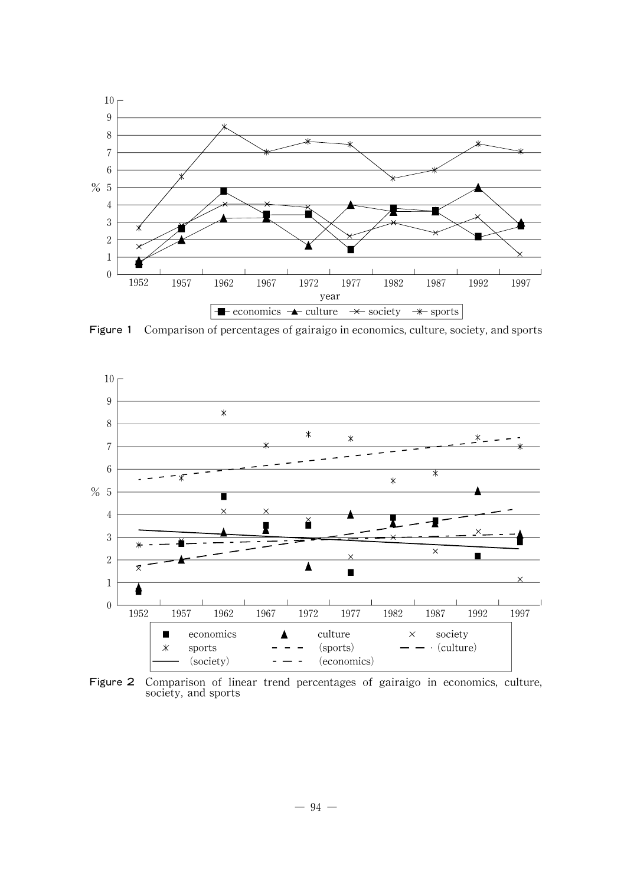

Figure 1 Comparison of percentages of gairaigo in economics, culture, society, and sports



Figure 2 Comparison of linear trend percentages of gairaigo in economics, culture, society, and sports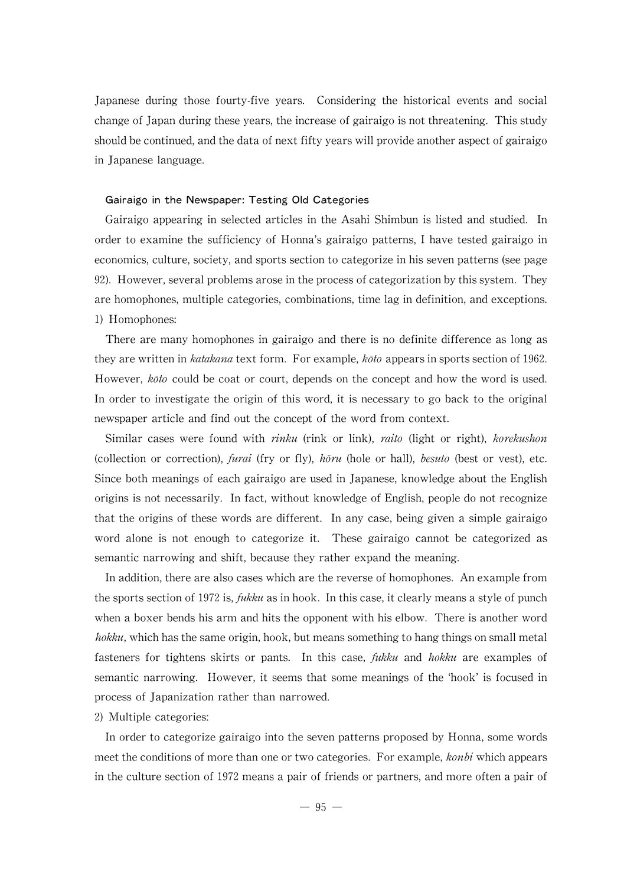Japanese during those fourty-five years. Considering the historical events and social change of Japan during these years, the increase of gairaigo is not threatening. This study should be continued, and the data of next fifty years will provide another aspect of gairaigo in Japanese language.

#### Gairaigo in the Newspaper: Testing Old Categories

Gairaigo appearing in selected articles in the Asahi Shimbun is listed and studied. In order to examine the sufficiency of Honna's gairaigo patterns, I have tested gairaigo in economics, culture, society, and sports section to categorize in his seven patterns (see page 92). However, several problems arose in the process of categorization by this system. They are homophones, multiple categories, combinations, time lag in definition, and exceptions. 1) Homophones:

There are many homophones in gairaigo and there is no definite difference as long as they are written in *katakana* text form. For example, *koto* appears in sports section of 1962. However, koto could be coat or court, depends on the concept and how the word is used. In order to investigate the origin of this word, it is necessary to go back to the original newspaper article and find out the concept of the word from context.

Similar cases were found with *rinku* (rink or link), *raito* (light or right), *korekushon* (collection or correction), furai (fry or fly),  $h\delta \nu u$  (hole or hall), *besuto* (best or vest), etc. Since both meanings of each gairaigo are used in Japanese, knowledge about the English origins is not necessarily. In fact, without knowledge of English, people do not recognize that the origins of these words are different. In any case, being given a simple gairaigo word alone is not enough to categorize it. These gairaigo cannot be categorized as semantic narrowing and shift, because they rather expand the meaning.

In addition, there are also cases which are the reverse of homophones. An example from the sports section of 1972 is, *fukku* as in hook. In this case, it clearly means a style of punch when a boxer bends his arm and hits the opponent with his elbow. There is another word hokku, which has the same origin, hook, but means something to hang things on small metal fasteners for tightens skirts or pants. In this case, fukku and hokku are examples of semantic narrowing. However, it seems that some meanings of the ʻhook'is focused in process of Japanization rather than narrowed.

#### 2) Multiple categories:

In order to categorize gairaigo into the seven patterns proposed by Honna, some words meet the conditions of more than one or two categories. For example, *konbi* which appears in the culture section of 1972 means a pair of friends or partners, and more often a pair of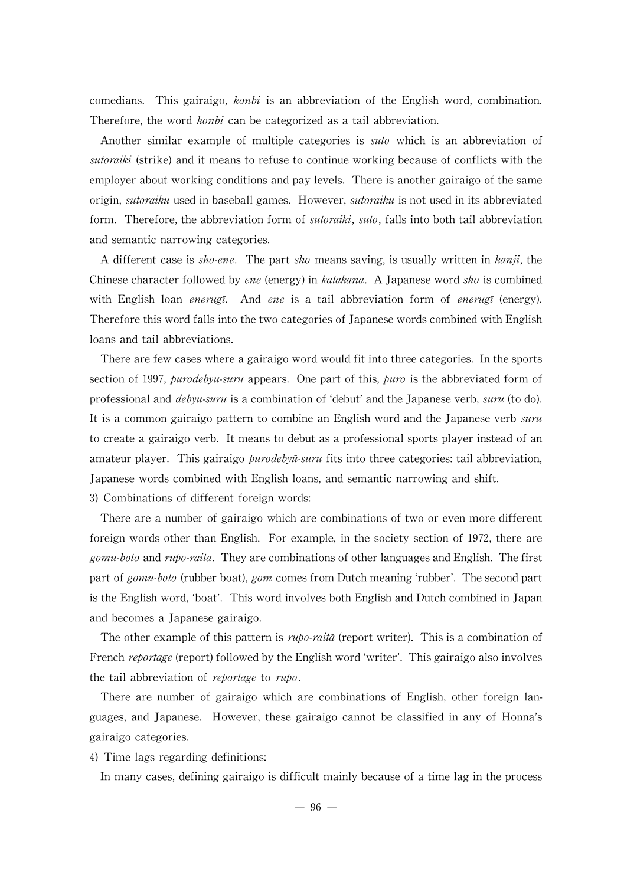comedians. This gairaigo, *konbi* is an abbreviation of the English word, combination. Therefore, the word *konbi* can be categorized as a tail abbreviation.

Another similar example of multiple categories is suto which is an abbreviation of sutoraiki (strike) and it means to refuse to continue working because of conflicts with the employer about working conditions and pay levels. There is another gairaigo of the same origin, *sutoraiku* used in baseball games. However, *sutoraiku* is not used in its abbreviated form. Therefore, the abbreviation form of *sutoraiki, suto*, falls into both tail abbreviation and semantic narrowing categories.

A different case is shō-ene. The part shō means saving, is usually written in kanji, the Chinese character followed by ene (energy) in katakana. A Japanese word sho is combined with English loan *enerugi*. And *ene* is a tail abbreviation form of *enerugi* (energy). Therefore this word falls into the two categories of Japanese words combined with English loans and tail abbreviations.

There are few cases where a gairaigo word would fit into three categories. In the sports section of 1997, *purodebyū-suru* appears. One part of this, *puro* is the abbreviated form of professional and *debyū-suru* is a combination of 'debut' and the Japanese verb, *suru* (to do). It is a common gairaigo pattern to combine an English word and the Japanese verb *suru* to create a gairaigo verb. It means to debut as a professional sports player instead ofan amateur player. This gairaigo *purodebyū-suru* fits into three categories: tail abbreviation, Japanese words combined with English loans, and semantic narrowing and shift. 3) Combinations of different foreign words:

There are a number of gairaigo which are combinations of two or even more different foreign words other than English. For example, in the society section of 1972, there are gomu-bōto and rupo-raitā. They are combinations of other languages and English. The first part of gomu-bōto (rubber boat), gom comes from Dutch meaning 'rubber'. The second part is theEnglish word,ʻboat'. This word involves both English and Dutch combined in Japan and becomes a Japanese gairaigo.

The other example of this pattern is  $r\mu p\sigma$ -raita (report writer). This is a combination of French *reportage* (report) followed by the English word 'writer'. This gairaigo also involves the tail abbreviation of *reportage* to *rupo*.

There are number of gairaigo which are combinations of English, other foreign languages, and Japanese. However, these gairaigo cannot be classified in any of Honna's gairaigo categories.

4) Time lags regarding definitions:

In many cases, defining gairaigo is difficult mainly because of a time lag in the process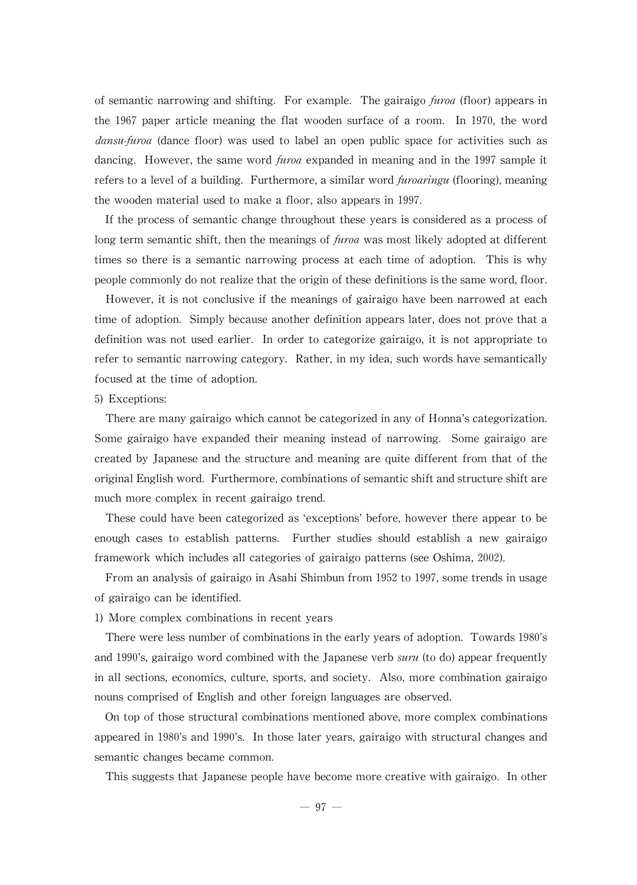of semantic narrowing and shifting. For example. The gairaigo  $furoa$  (floor) appears in the 1967 paper article meaning the flat wooden surface of a room. In 1970, the word dansu-furoa (dance floor) was used to label an open public space for activities such as dancing. However, the same word *furoa* expanded in meaning and in the 1997 sample it refers to a level of a building. Furthermore, a similar word *furoaringu* (flooring), meaning the wooden material used to make a floor, also appears in 1997.

If the process of semantic change throughout these years is considered as a process of long term semantic shift, then the meanings of furoa was most likely adopted at different times so there is a semantic narrowing process at each time of adoption. This is why people commonly do not realize that the origin of these definitions is the same word, floor.

However, it is not conclusive if the meanings of gairaigo have been narrowed at each time of adoption. Simply because another definition appears later, does not prove that a definition was not used earlier. In order to categorize gairaigo, it is not appropriate to refer to semantic narrowing category. Rather, in my idea, such words have semantically focused at the time of adoption.

### 5) Exceptions:

There are many gairaigo which cannot be categorized in any of Honna's categorization. Some gairaigo have expanded their meaning instead of narrowing. Some gairaigo are created by Japanese and the structure and meaning are quite different from that of the original English word. Furthermore, combinations of semantic shift and structure shift are much more complex in recent gairaigo trend.

These could have been categorized as ʻexceptions'before, however there appear to be enough cases to establish patterns. Further studies should establish a new gairaigo framework which includes all categories of gairaigo patterns (see Oshima, 2002).

From an analysis of gairaigo in Asahi Shimbun from 1952 to 1997, some trends in usage of gairaigo can be identified.

1) More complex combinations in recent years

There were less number of combinations in the early years of adoption. Towards 1980's and 1990's, gairaigo word combined with the Japanese verb  $suru$  (to do) appear frequently in all sections, economics, culture, sports, and society. Also, more combination gairaigo nouns comprised of English and other foreign languages are observed.

On top of those structural combinations mentioned above, more complex combinations appeared in 1980's and 1990's. In those later years,gairaigo with structural changes and semantic changes became common.

This suggests that Japanese people have becomemore creativewith gairaigo. In other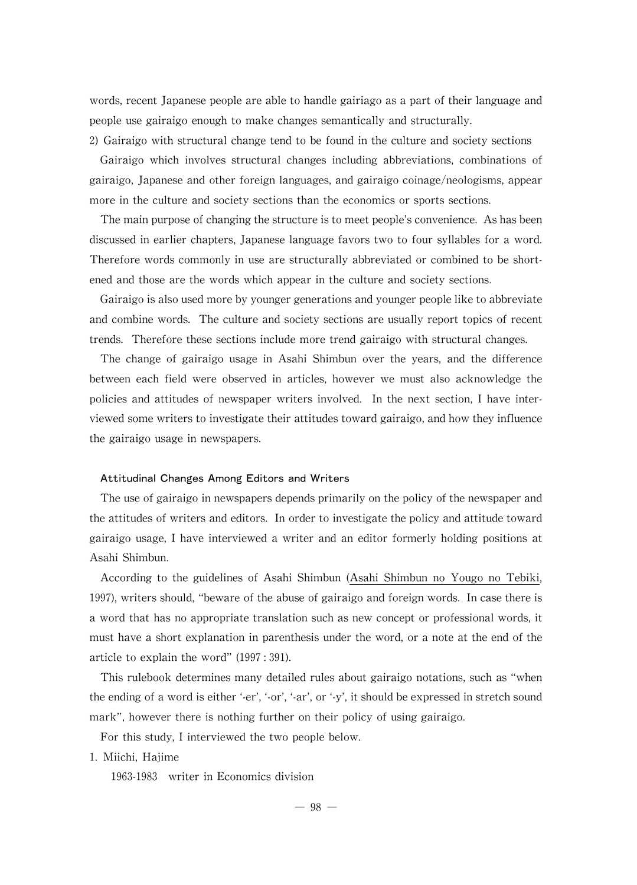words, recent Japanese people are able to handle gairiago as a part of their language and people use gairaigo enough to make changes semantically and structurally.

2) Gairaigo with structural change tend to be found in the culture and society sections Gairaigo which involves structural changes including abbreviations, combinations of gairaigo,Japanese and other foreign languages,and gairaigo coinage/neologisms,appear more in the culture and society sections than the economics or sports sections.

The main purpose of changing the structure is to meet people's convenience. As has been discussed in earlier chapters, Japanese language favors two to four syllables for a word. Therefore words commonly in use are structurally abbreviated or combined to be shortened and those are the words which appear in the culture and society sections.

Gairaigo is also used more by younger generations and younger people like to abbreviate and combine words. The culture and society sections are usually report topics of recent trends. Therefore these sections include more trend gairaigo with structural changes.

The change of gairaigo usage in Asahi Shimbun over the years, and the difference between each field were observed in articles, however we must also acknowledge the policies and attitudes of newspaper writers involved. In the next section, I have interviewed some writers to investigate their attitudes toward gairaigo, and how they influence the gairaigo usage in newspapers.

# Attitudinal Changes Among Editors and Writers

The use of gairaigo in newspapers depends primarily on the policy of the newspaper and the attitudes of writers and editors. In order to investigate the policy and attitude toward gairaigo usage, I have interviewed a writer and an editor formerly holding positions at Asahi Shimbun.

According to the guidelines of Asahi Shimbun (Asahi Shimbun no Yougo no Tebiki, 1997), writers should, "beware of the abuse of gairaigo and foreign words. In case there is a word that has no appropriate translation such as new concept or professional words, it must have a short explanation in parenthesis under the word, or a note at the end of the article to explain the word"(1997:391).

This rulebook determines many detailed rules about gairaigo notations, such as "when the ending of a word is either '-er', '-or', '-ar', or '-y', it should be expressed in stretch sound mark", however there is nothing further on their policy of using gairaigo.

For this study, I interviewed the two people below.

1. Miichi, Hajime

1963-1983 writer in Economics division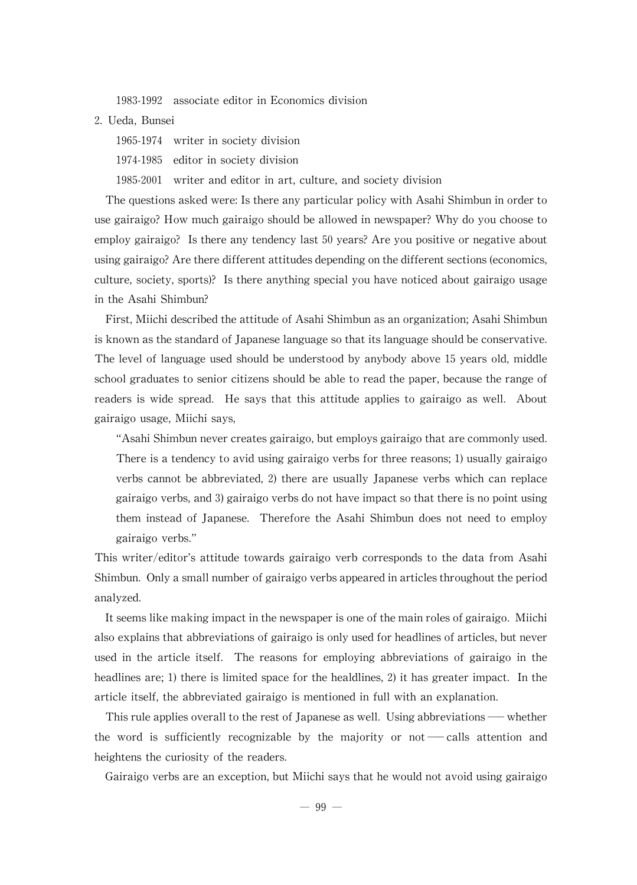1983-1992 associate editor in Economics division

2. Ueda, Bunsei

1965-1974 writer in society division

1974-1985 editor in society division

1985-2001 writer and editor in art, culture, and society division

The questions asked were: Is there any particular policy with Asahi Shimbun in order to use gairaigo? How much gairaigo should be allowed in newspaper? Why do you choose to employ gairaigo? Is there any tendency last 50 years? Are you positive or negative about using gairaigo? Are there different attitudes depending on the different sections (economics, culture, society, sports)? Is there anything special you have noticed about gairaigo usage in the Asahi Shimbun?

First, Miichi described the attitude of Asahi Shimbun as an organization; Asahi Shimbun is known as the standard of Japanese language so that its language should be conservative. The level of language used should be understood by anybody above 15 years old, middle school graduates to senior citizens should be able to read the paper, because the range of readers is wide spread. He says that this attitude applies to gairaigo as well. About gairaigo usage,Miichi says,

"Asahi Shimbun never creates gairaigo, but employs gairaigo that are commonly used. There is a tendency to avid using gairaigo verbs for three reasons; 1) usually gairaigo verbs cannot be abbreviated, 2) there are usually Japanese verbs which can replace gairaigo verbs, and 3) gairaigo verbs do not have impact so that there is no point using them instead of Japanese. Therefore the Asahi Shimbun does not need to employ gairaigo verbs."

This writer/editor's attitude towards gairaigo verb corresponds to the data from Asahi Shimbun. Only a small number of gairaigo verbs appeared in articles throughout the period analyzed.

It seems like making impact in the newspaper is one of the main roles of gairaigo. Miichi also explains that abbreviations of gairaigo is only used for headlines of articles, but never used in the article itself. The reasons for employing abbreviations of gairaigo in the headlines are; 1) there is limited space for the healdlines, 2) it has greater impact. In the article itself, the abbreviated gairaigo is mentioned in full with an explanation.

This rule applies overall to the rest of Japanese as well. Using abbreviations — whether the word is sufficiently recognizable by the majority or not  $\sim$  calls attention and heightens the curiosity of the readers.

Gairaigo verbs are an exception, but Miichi says that he would not avoid using gairaigo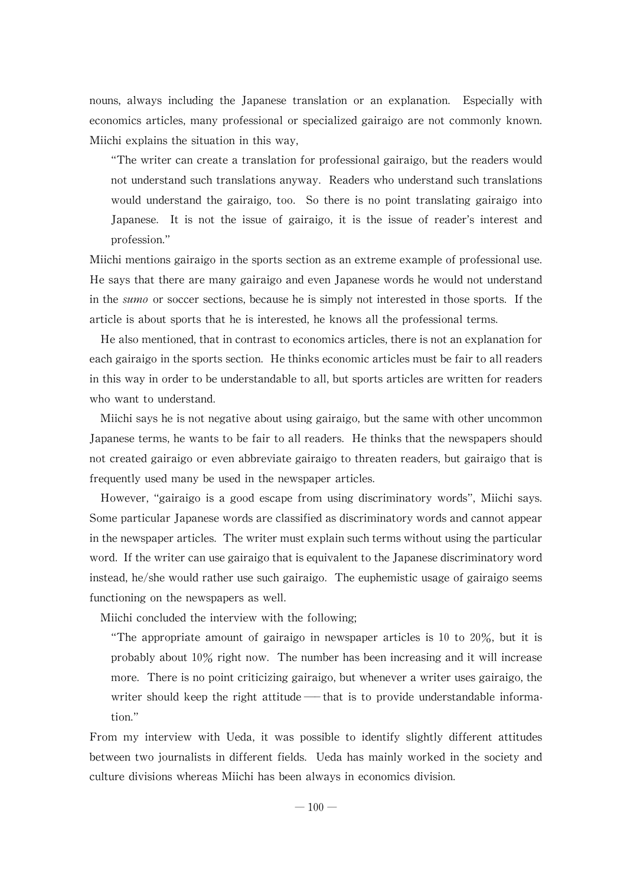nouns, always including the Japanese translation or an explanation. Especially with economics articles, many professional or specialized gairaigo are not commonly known. Miichi explains the situation in this way,

"The writer can create a translation for professional gairaigo, but the readers would not understand such translations anyway. Readers who understand such translations would understand the gairaigo, too. So there is no point translating gairaigo into Japanese. It is not the issue of gairaigo, it is the issue of reader's interest and profession."

Miichi mentions gairaigo in the sports section as an extreme example of professional use. He says that there are manygairaigo and even Japanesewords hewould not understand in the *sumo* or soccer sections, because he is simply not interested in those sports. If the article is about sports that he is interested, he knows all the professional terms.

He also mentioned, that in contrast to economics articles, there is not an explanation for each gairaigo in the sports section. He thinks economic articles must be fair to all readers in this way in order to be understandable to all, but sports articles are written for readers who want to understand.

Miichi says he is not negative about using gairaigo, but the same with other uncommon Japanese terms, he wants to be fair to all readers. He thinks that the newspapers should not created gairaigo or even abbreviate gairaigo to threaten readers, but gairaigo that is frequently used many be used in the newspaper articles.

However, "gairaigo is a good escape from using discriminatory words", Miichi says. Some particular Japanese words are classified as discriminatory words and cannot appear in the newspaper articles. The writer must explain such terms without using the particular word. If the writer can use gairaigo that is equivalent to the Japanese discriminatory word instead, he/she would rather use such gairaigo. The euphemistic usage of gairaigo seems functioning on the newspapers as well.

Miichi concluded the interview with the following;

"The appropriate amount of gairaigo in newspaper articles is 10 to 20%, but it is probably about 10% right now. The number has been increasing and it will increase more. There is no point criticizing gairaigo, but whenever a writer uses gairaigo, the writer should keep the right attitude — that is to provide understandable information."

From my interview with Ueda, it was possible to identify slightly different attitudes between two journalists in different fields. Ueda has mainly worked in the society and culture divisions whereas Miichi has been always in economics division.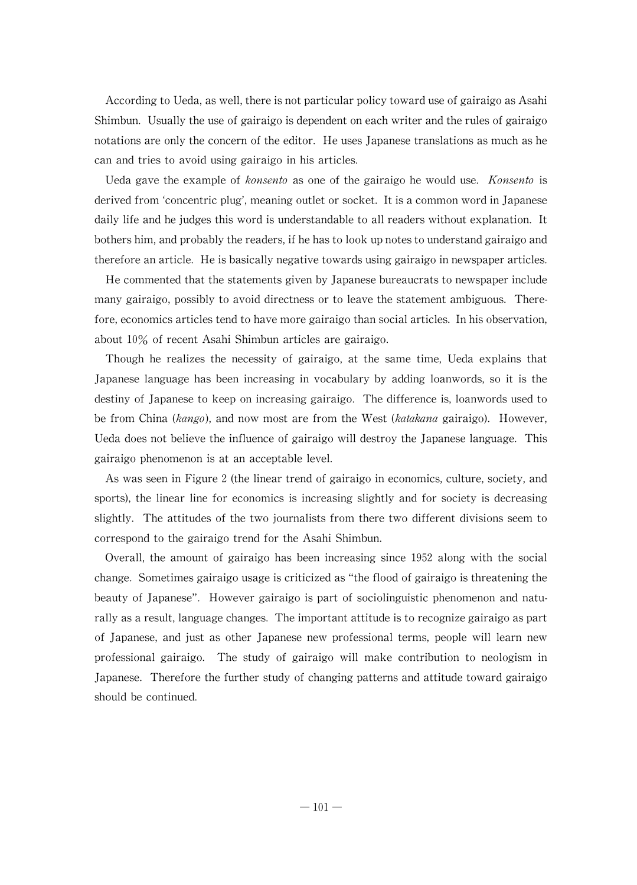According to Ueda, as well, there is not particular policy toward use of gairaigo as Asahi Shimbun. Usually the use of gairaigo is dependent on each writer and the rules of gairaigo notations are only the concern of the editor. He uses Japanese translations as much as he can and tries to avoid using gairaigo in his articles.

Ueda gave the example of konsento as one of the gairaigo he would use. Konsento is derived from 'concentric plug', meaning outlet or socket. It is a common word in Japanese daily life and he judges this word is understandable to all readers without explanation. It bothers him, and probably the readers, if he has to look up notes to understand gairaigo and therefore an article. He is basically negative towards using gairaigo in newspaper articles.

He commented that the statements given by Japanese bureaucrats to newspaper include many gairaigo, possibly to avoid directness or to leave the statement ambiguous. Therefore, economics articles tend to have more gairaigo than social articles. In his observation, about 10% of recent Asahi Shimbun articles are gairaigo.

Though he realizes the necessity of gairaigo, at the same time, Ueda explains that Japanese language has been increasing in vocabulary by adding loanwords, so it is the destiny of Japanese to keep on increasing gairaigo. The difference is, loanwords used to be from China (kango), and now most are from the West (katakana gairaigo). However, Ueda does not believe the influence of gairaigo will destroy the Japanese language. This gairaigo phenomenon is at an acceptable level.

As was seen in Figure 2 (the linear trend of gairaigo in economics, culture, society, and sports), the linear line for economics is increasing slightly and for society is decreasing slightly. The attitudes of the two journalists from there two different divisions seem to correspond to the gairaigo trend for the Asahi Shimbun.

Overall, the amount of gairaigo has been increasing since 1952 along with the social change. Sometimes gairaigo usage is criticized as "the flood of gairaigo is threatening the beauty of Japanese". However gairaigo is part of sociolinguistic phenomenon and naturally as a result, language changes. The important attitude is to recognize gairaigo as part of Japanese, and just as other Japanese new professional terms, people will learn new professional gairaigo. The study of gairaigo will make contribution to neologism in Japanese. Therefore the further study of changing patterns and attitude toward gairaigo should be continued.